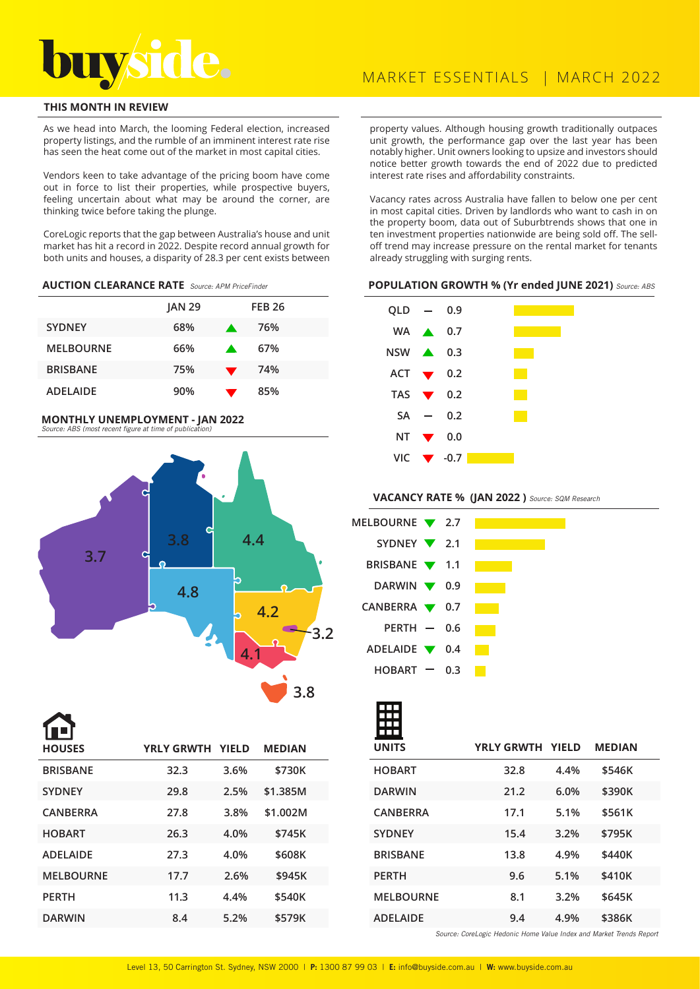

## **THIS MONTH IN REVIEW**

As we head into March, the looming Federal election, increased property listings, and the rumble of an imminent interest rate rise has seen the heat come out of the market in most capital cities.

Vendors keen to take advantage of the pricing boom have come out in force to list their properties, while prospective buyers, feeling uncertain about what may be around the corner, are thinking twice before taking the plunge.

CoreLogic reports that the gap between Australia's house and unit market has hit a record in 2022. Despite record annual growth for both units and houses, a disparity of 28.3 per cent exists between

### **AUCTION CLEARANCE RATE** Source: APM PriceFinder

|                  | <b>JAN 29</b> |                  | <b>FEB 26</b> |
|------------------|---------------|------------------|---------------|
| <b>SYDNEY</b>    | 68%           | A.               | 76%           |
| <b>MELBOURNE</b> | 66%           | $\blacktriangle$ | 67%           |
| <b>BRISBANE</b>  | 75%           |                  | 74%           |
| <b>ADELAIDE</b>  | 90%           |                  | 85%           |

#### **MONTHLY UNEMPLOYMENT - JAN 2022**  Source: ABS (most recent figure at time of publication)



**BRISBANE 32.3 3.6% \$730K SYDNEY 29.8 2.5% \$1.385M CANBERRA 27.8 3.8% \$1.002M HOBART 26.3 4.0% \$745K ADELAIDE 27.3 4.0% \$608K MELBOURNE 17.7 2.6% \$945K PERTH 11.3 4.4% \$540K DARWIN 8.4 5.2% \$579K HOUSES YRLY GRWTH YIELD MEDIAN**

property values. Although housing growth traditionally outpaces unit growth, the performance gap over the last year has been notably higher. Unit owners looking to upsize and investors should notice better growth towards the end of 2022 due to predicted interest rate rises and affordability constraints.

Vacancy rates across Australia have fallen to below one per cent in most capital cities. Driven by landlords who want to cash in on the property boom, data out of Suburbtrends shows that one in ten investment properties nationwide are being sold off. The selloff trend may increase pressure on the rental market for tenants already struggling with surging rents.

#### **POPULATION GROWTH % (Yr ended JUNE 2021)** Source: ABS



**VACANCY RATE % (JAN 2022 )** Source: SQM Research

| MELBOURNE 7 2.7                   |  |  |  |
|-----------------------------------|--|--|--|
| SYDNEY $\sqrt{2.1}$               |  |  |  |
| BRISBANE <b>V</b> 1.1             |  |  |  |
| DARWIN $\blacktriangledown$ 0.9   |  |  |  |
| CANBERRA $\blacktriangledown$ 0.7 |  |  |  |
| $PERTH$ - 0.6                     |  |  |  |
| ADELAIDE $\blacktriangledown$ 0.4 |  |  |  |
| $HOBART = 0.3$                    |  |  |  |

| <b>UNITS</b>     | YRLY GRWTH YIELD |      | <b>MEDIAN</b> |
|------------------|------------------|------|---------------|
| <b>HOBART</b>    | 32.8             | 4.4% | \$546K        |
| <b>DARWIN</b>    | 21.2             | 6.0% | \$390K        |
| <b>CANBERRA</b>  | 17.1             | 5.1% | \$561K        |
| <b>SYDNEY</b>    | 15.4             | 3.2% | \$795K        |
| <b>BRISBANE</b>  | 13.8             | 4.9% | \$440K        |
| <b>PERTH</b>     | 9.6              | 5.1% | \$410K        |
| <b>MELBOURNE</b> | 8.1              | 3.2% | \$645K        |
| <b>ADELAIDE</b>  | 9.4              | 4.9% | \$386K        |

Source: CoreLogic Hedonic Home Value Index and Market Trends Report